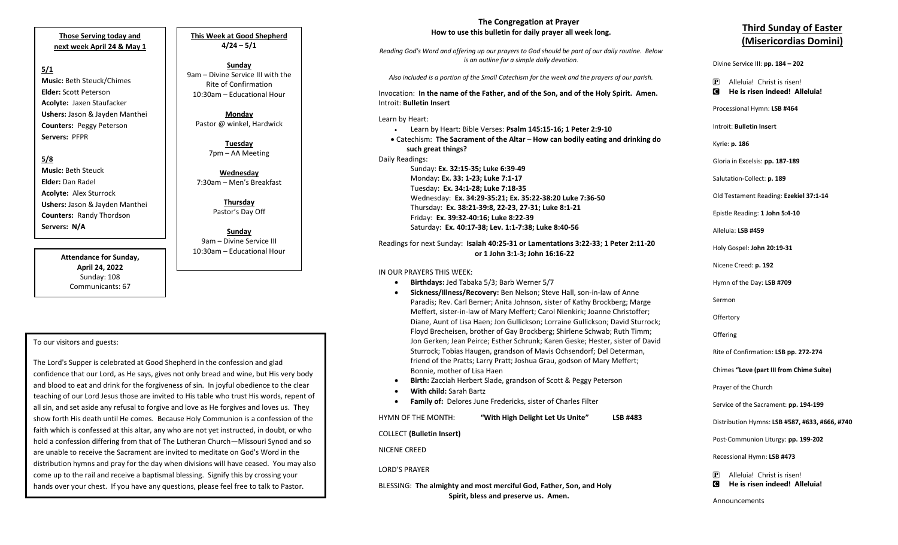**Those Serving today and next week April 24 & May 1**

**5/1 Music:** Beth Steuck/Chimes **Elder:** Scott Peterson **Acolyte:** Jaxen Staufacker **Ushers:** Jason & Jayden Manthei **Counters:** Peggy Peterson **Servers:** PFPR

**5/8 Music:** Beth Steuck **Elder:** Dan Radel **Acolyte:** Alex Sturrock

**Ushers:** Jason & Jayden Manthei **Counters:** Randy Thordson **Servers: N/A**

> **Attendance for Sunday, April 24, 2022** Sunday: 108 Communicants: 67

**This Week at Good Shepherd 4/24 – 5/1**

**Sunday**  9am – Divine Service III with the Rite of Confirmation 10:30am – Educational Hour

**Monday** Pastor @ winkel, Hardwick

> **Tuesday** 7pm – AA Meeting

**Wednesday** 7:30am – Men's Breakfast

> **Thursday** Pastor's Day Off

**Sunday**  9am – Divine Service III 10:30am – Educational Hour

## To our visitors and guests:

 teaching of our Lord Jesus those are invited to His table who trust His words, repent of The Lord's Supper is celebrated at Good Shepherd in the confession and glad confidence that our Lord, as He says, gives not only bread and wine, but His very body and blood to eat and drink for the forgiveness of sin. In joyful obedience to the clear all sin, and set aside any refusal to forgive and love as He forgives and loves us. They show forth His death until He comes. Because Holy Communion is a confession of the faith which is confessed at this altar, any who are not yet instructed, in doubt, or who hold a confession differing from that of The Lutheran Church—Missouri Synod and so are unable to receive the Sacrament are invited to meditate on God's Word in the distribution hymns and pray for the day when divisions will have ceased. You may also come up to the rail and receive a baptismal blessing. Signify this by crossing your hands over your chest. If you have any questions, please feel free to talk to Pastor.

## **The Congregation at Prayer How to use this bulletin for daily prayer all week long.**

*Reading God's Word and offering up our prayers to God should be part of our daily routine. Below is an outline for a simple daily devotion.*

*Also included is a portion of the Small Catechism for the week and the prayers of our parish.*

Invocation: **In the name of the Father, and of the Son, and of the Holy Spirit. Amen.** Introit: **Bulletin Insert**

Learn by Heart:

 • Learn by Heart: Bible Verses: **Psalm 145:15-16; 1 Peter 2:9-10** • Catechism: **The Sacrament of the Altar** – **How can bodily eating and drinking do such great things?** Daily Readings: Sunday: **Ex. 32:15-35; Luke 6:39-49** Monday: **Ex. 33: 1-23; Luke 7:1-17** Tuesday: **Ex. 34:1-28; Luke 7:18-35** Wednesday: **Ex. 34:29-35:21; Ex. 35:22-38:20 Luke 7:36-50** Thursday: **Ex. 38:21-39:8, 22-23, 27-31; Luke 8:1-21**

Friday: **Ex. 39:32-40:16; Luke 8:22-39** Saturday: **Ex. 40:17-38; Lev. 1:1-7:38; Luke 8:40-56**

Readings for next Sunday: **Isaiah 40:25-31 or Lamentations 3:22-33**; **1 Peter 2:11-20 or 1 John 3:1-3; John 16:16-22**

IN OUR PRAYERS THIS WEEK:

- **Birthdays:** Jed Tabaka 5/3; Barb Werner 5/7
- **Sickness/Illness/Recovery:** Ben Nelson; Steve Hall, son-in-law of Anne Paradis; Rev. Carl Berner; Anita Johnson, sister of Kathy Brockberg; Marge Meffert, sister-in-law of Mary Meffert; Carol Nienkirk; Joanne Christoffer; Diane, Aunt of Lisa Haen; Jon Gullickson; Lorraine Gullickson; David Sturrock; Floyd Brecheisen, brother of Gay Brockberg; Shirlene Schwab; Ruth Timm; Jon Gerken; Jean Peirce; Esther Schrunk; Karen Geske; Hester, sister of David Sturrock; Tobias Haugen, grandson of Mavis Ochsendorf; Del Determan, friend of the Pratts; Larry Pratt; Joshua Grau, godson of Mary Meffert; Bonnie, mother of Lisa Haen
- **Birth:** Zacciah Herbert Slade, grandson of Scott & Peggy Peterson
- **With child:** Sarah Bartz
- **Family of:** Delores June Fredericks, sister of Charles Filter

HYMN OF THE MONTH: **"With High Delight Let Us Unite" LSB #483**

COLLECT **(Bulletin Insert)**

NICENE CREED

LORD'S PRAYER

BLESSING: **The almighty and most merciful God, Father, Son, and Holy Spirit, bless and preserve us. Amen.**

## **Third Sunday of Easter (Misericordias Domini)**

Divine Service III: **pp. 184 – 202**

- P Alleluia! Christ is risen!
- C **He is risen indeed! Alleluia!**

Processional Hymn: **LSB #464**

Introit: **Bulletin Insert** 

Kyrie: **p. 186**

Gloria in Excelsis: **pp. 187-189**

Salutation-Collect: **p. 189**

Old Testament Reading: **Ezekiel 37:1-14**

Epistle Reading: **1 John 5:4-10**

Alleluia: **LSB #459**

Holy Gospel: **John 20:19-31**

Nicene Creed: **p. 192**

Hymn of the Day: **LSB #709**

Sermon

**Offertory** 

**Offering** 

Rite of Confirmation: **LSB pp. 272-274**

Chimes **"Love (part III from Chime Suite)**

Prayer of the Church

Service of the Sacrament: **pp. 194-199**

Distribution Hymns: **LSB #587, #633, #666, #740**

Post-Communion Liturgy: **pp. 199-202** 

Recessional Hymn: **LSB #473**

P Alleluia! Christ is risen! C **He is risen indeed! Alleluia!**

Announcements